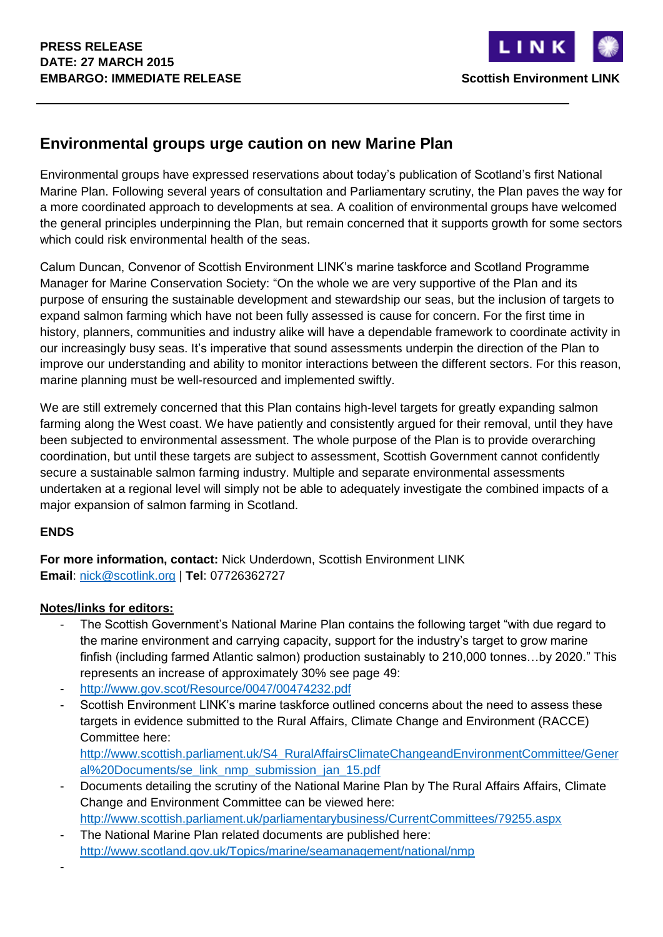

## **Environmental groups urge caution on new Marine Plan**

Environmental groups have expressed reservations about today's publication of Scotland's first National Marine Plan. Following several years of consultation and Parliamentary scrutiny, the Plan paves the way for a more coordinated approach to developments at sea. A coalition of environmental groups have welcomed the general principles underpinning the Plan, but remain concerned that it supports growth for some sectors which could risk environmental health of the seas.

Calum Duncan, Convenor of Scottish Environment LINK's marine taskforce and Scotland Programme Manager for Marine Conservation Society: "On the whole we are very supportive of the Plan and its purpose of ensuring the sustainable development and stewardship our seas, but the inclusion of targets to expand salmon farming which have not been fully assessed is cause for concern. For the first time in history, planners, communities and industry alike will have a dependable framework to coordinate activity in our increasingly busy seas. It's imperative that sound assessments underpin the direction of the Plan to improve our understanding and ability to monitor interactions between the different sectors. For this reason, marine planning must be well-resourced and implemented swiftly.

We are still extremely concerned that this Plan contains high-level targets for greatly expanding salmon farming along the West coast. We have patiently and consistently argued for their removal, until they have been subjected to environmental assessment. The whole purpose of the Plan is to provide overarching coordination, but until these targets are subject to assessment, Scottish Government cannot confidently secure a sustainable salmon farming industry. Multiple and separate environmental assessments undertaken at a regional level will simply not be able to adequately investigate the combined impacts of a major expansion of salmon farming in Scotland.

## **ENDS**

**For more information, contact:** Nick Underdown, Scottish Environment LINK **Email**: [nick@scotlink.org](mailto:nick@scotlink.org) | **Tel**: 07726362727

## **Notes/links for editors:**

- The Scottish Government's National Marine Plan contains the following target "with due regard to the marine environment and carrying capacity, support for the industry's target to grow marine finfish (including farmed Atlantic salmon) production sustainably to 210,000 tonnes…by 2020." This represents an increase of approximately 30% see page 49:
- <http://www.gov.scot/Resource/0047/00474232.pdf>
- Scottish Environment LINK's marine taskforce outlined concerns about the need to assess these targets in evidence submitted to the Rural Affairs, Climate Change and Environment (RACCE) Committee here:

[http://www.scottish.parliament.uk/S4\\_RuralAffairsClimateChangeandEnvironmentCommittee/Gener](http://www.scottish.parliament.uk/S4_RuralAffairsClimateChangeandEnvironmentCommittee/General%20Documents/se_link_nmp_submission_jan_15.pdf) [al%20Documents/se\\_link\\_nmp\\_submission\\_jan\\_15.pdf](http://www.scottish.parliament.uk/S4_RuralAffairsClimateChangeandEnvironmentCommittee/General%20Documents/se_link_nmp_submission_jan_15.pdf)

- Documents detailing the scrutiny of the National Marine Plan by The Rural Affairs Affairs, Climate Change and Environment Committee can be viewed here: <http://www.scottish.parliament.uk/parliamentarybusiness/CurrentCommittees/79255.aspx>
- The National Marine Plan related documents are published here: <http://www.scotland.gov.uk/Topics/marine/seamanagement/national/nmp>
- -